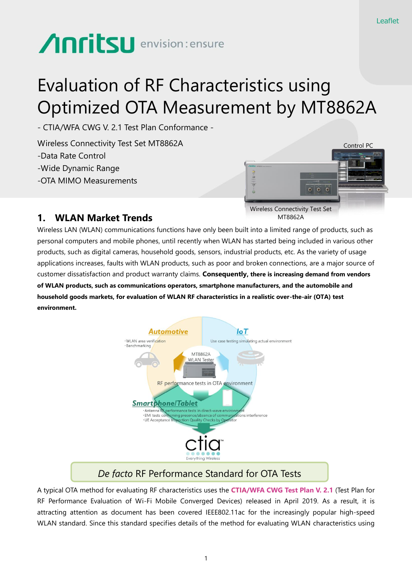# **Anritsu** envision: ensure

## Evaluation of RF Characteristics using Optimized OTA Measurement by MT8862A

- CTIA/WFA CWG V. 2.1 Test Plan Conformance -

Wireless Connectivity Test Set MT8862A -Data Rate Control -Wide Dynamic Range -OTA MIMO Measurements



#### **1. WLAN Market Trends**

Wireless LAN (WLAN) communications functions have only been built into a limited range of products, such as personal computers and mobile phones, until recently when WLAN has started being included in various other products, such as digital cameras, household goods, sensors, industrial products, etc. As the variety of usage applications increases, faults with WLAN products, such as poor and broken connections, are a major source of customer dissatisfaction and product warranty claims. **Consequently, there is increasing demand from vendors of WLAN products, such as communications operators, smartphone manufacturers, and the automobile and household goods markets, for evaluation of WLAN RF characteristics in a realistic over-the-air (OTA) test environment.**



#### *De facto* RF Performance Standard for OTA Tests

A typical OTA method for evaluating RF characteristics uses the **CTIA/WFA CWG Test Plan V. 2.1** (Test Plan for RF Performance Evaluation of Wi-Fi Mobile Converged Devices) released in April 2019. As a result, it is attracting attention as document has been covered IEEE802.11ac for the increasingly popular high-speed WLAN standard. Since this standard specifies details of the method for evaluating WLAN characteristics using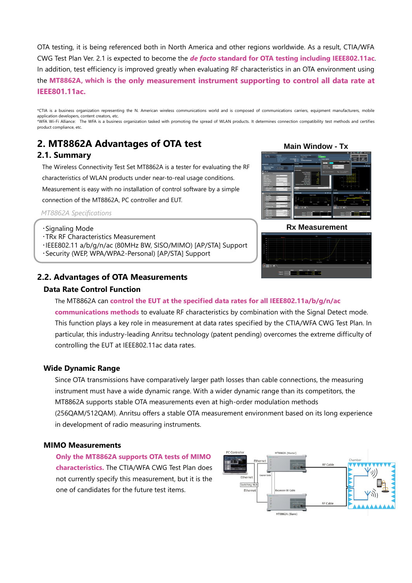OTA testing, it is being referenced both in North America and other regions worldwide. As a result, CTIA/WFA CWG Test Plan Ver. 2.1 is expected to become the *de facto* **standard for OTA testing including IEEE802.11ac**. In addition, test efficiency is improved greatly when evaluating RF characteristics in an OTA environment using the **MT8862A, which is the only measurement instrument supporting to control all data rate at IEEE801.11ac.**

\*CTIA is a business organization representing the N. American wireless communications world and is composed of communications carriers, equipment manufacturers, mobile application developers, content creators, etc. \*WFA Wi-Fi Alliance: The WFA is a business organization tasked with promoting the spread of WLAN products. It determines connection compatibility test methods and certifies product compliance, etc.

### **2. MT8862A Advantages of OTA test**

#### **2.1. Summary**

The Wireless Connectivity Test Set MT8862A is a tester for evaluating the RF characteristics of WLAN products under near-to-real usage conditions.

Measurement is easy with no installation of control software by a simple

connection of the MT8862A, PC controller and EUT.

*MT8862A Specifications*

- ・TRx RF Characteristics Measurement
- ・IEEE802.11 a/b/g/n/ac (80MHz BW, SISO/MIMO) [AP/STA] Support
- ・Security (WEP, WPA/WPA2-Personal) [AP/STA] Support

#### **2.2. Advantages of OTA Measurements**

#### **Data Rate Control Function**



**Main Window - Tx** 





The MT8862A can **control the EUT at the specified data rates for all IEEE802.11a/b/g/n/ac communications methods** to evaluate RF characteristics by combination with the Signal Detect mode. This function plays a key role in measurement at data rates specified by the CTIA/WFA CWG Test Plan. In particular, this industry-leading Anritsu technology (patent pending) overcomes the extreme difficulty of controlling the EUT at IEEE802.11ac data rates.

#### **Wide Dynamic Range**

Since OTA transmissions have comparatively larger path losses than cable connections, the measuring instrument must have a wide dynamic range. With a wider dynamic range than its competitors, the MT8862A supports stable OTA measurements even at high-order modulation methods (256QAM/512QAM). Anritsu offers a stable OTA measurement environment based on its long experience in development of radio measuring instruments.

#### **MIMO Measurements**

**Only the MT8862A supports OTA tests of MIMO characteristics.** The CTIA/WFA CWG Test Plan does not currently specify this measurement, but it is the one of candidates for the future test items.

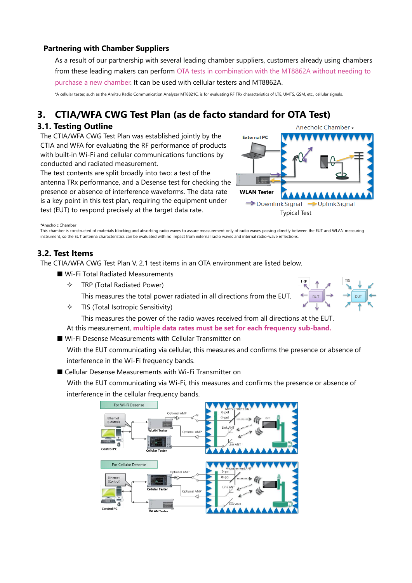#### **Partnering with Chamber Suppliers**

As a result of our partnership with several leading chamber suppliers, customers already using chambers from these leading makers can perform OTA tests in combination with the MT8862A without needing to purchase a new chamber. It can be used with cellular testers and MT8862A.

\*A cellular tester, such as the Anritsu Radio Communication Analyzer MT8821C, is for evaluating RF TRx characteristics of LTE, UMTS, GSM, etc., cellular signals.

#### **3. CTIA/WFA CWG Test Plan (as de facto standard for OTA Test)**

#### **3.1. Testing Outline**

The CTIA/WFA CWG Test Plan was established jointly by the CTIA and WFA for evaluating the RF performance of products with built-in Wi-Fi and cellular communications functions by conducted and radiated measurement.

The test contents are split broadly into two: a test of the antenna TRx performance, and a Desense test for checking the presence or absence of interference waveforms. The data rate is a key point in this test plan, requiring the equipment under test (EUT) to respond precisely at the target data rate.



\*Anechoic Chamber

This chamber is constructed of materials blocking and absorbing radio waves to assure measurement only of radio waves passing directly between the EUT and WLAN measuring instrument, so the EUT antenna characteristics can be evaluated with no impact from external radio waves and internal radio-wave reflections.

#### **3.2. Test Items**

The CTIA/WFA CWG Test Plan V. 2.1 test items in an OTA environment are listed below.

- Wi-Fi Total Radiated Measurements
	- $\div$  TRP (Total Radiated Power)

This measures the total power radiated in all directions from the EUT.

 $\div$  TIS (Total Isotropic Sensitivity)



This measures the power of the radio waves received from all directions at the EUT. At this measurement, **multiple data rates must be set for each frequency sub-band.**

■ Wi-Fi Desense Measurements with Cellular Transmitter on

With the EUT communicating via cellular, this measures and confirms the presence or absence of interference in the Wi-Fi frequency bands.

■ Cellular Desense Measurements with Wi-Fi Transmitter on

With the EUT communicating via Wi-Fi, this measures and confirms the presence or absence of interference in the cellular frequency bands.